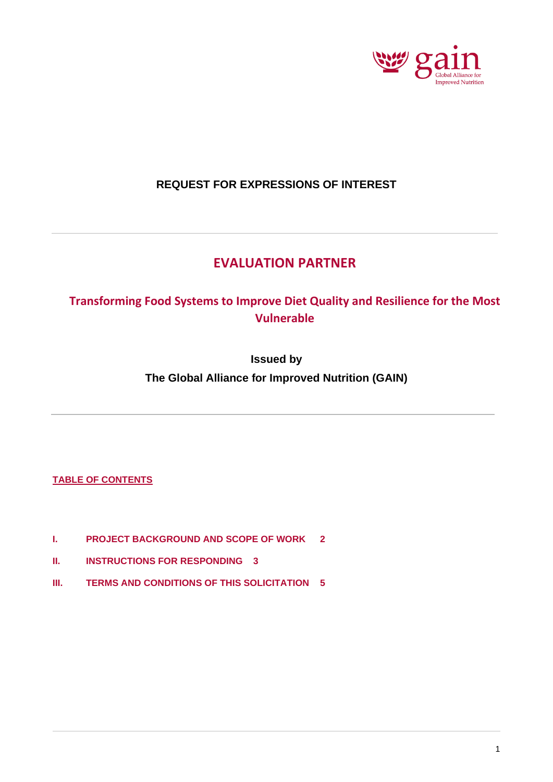

# **REQUEST FOR EXPRESSIONS OF INTEREST**

# **EVALUATION PARTNER**

# **Transforming Food Systems to Improve Diet Quality and Resilience for the Most Vulnerable**

**Issued by The Global Alliance for Improved Nutrition (GAIN)**

## **TABLE OF CONTENTS**

- **I. [PROJECT BACKGROUND AND SCOPE OF WORK](#page-1-0) 2**
- **II. [INSTRUCTIONS FOR RESPONDING](#page-2-0) 3**
- **III. [TERMS AND CONDITIONS OF THIS SOLICITATION](#page-4-0) 5**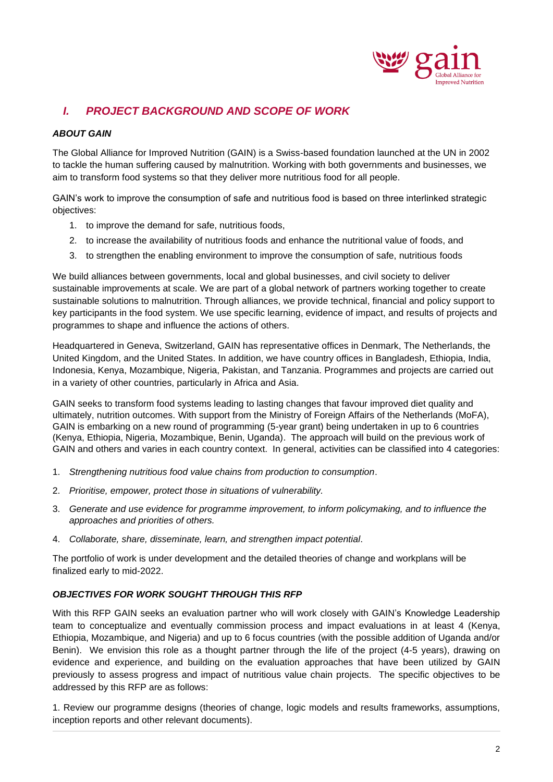

# <span id="page-1-0"></span>*I. PROJECT BACKGROUND AND SCOPE OF WORK*

### *ABOUT GAIN*

The Global Alliance for Improved Nutrition (GAIN) is a Swiss-based foundation launched at the UN in 2002 to tackle the human suffering caused by malnutrition. Working with both governments and businesses, we aim to transform food systems so that they deliver more nutritious food for all people.

GAIN's work to improve the consumption of safe and nutritious food is based on three interlinked strategic objectives:

- 1. to improve the demand for safe, nutritious foods,
- 2. to increase the availability of nutritious foods and enhance the nutritional value of foods, and
- 3. to strengthen the enabling environment to improve the consumption of safe, nutritious foods

We build alliances between governments, local and global businesses, and civil society to deliver sustainable improvements at scale. We are part of a global network of partners working together to create sustainable solutions to malnutrition. Through alliances, we provide technical, financial and policy support to key participants in the food system. We use specific learning, evidence of impact, and results of projects and programmes to shape and influence the actions of others.

Headquartered in Geneva, Switzerland, GAIN has representative offices in Denmark, The Netherlands, the United Kingdom, and the United States. In addition, we have country offices in Bangladesh, Ethiopia, India, Indonesia, Kenya, Mozambique, Nigeria, Pakistan, and Tanzania. Programmes and projects are carried out in a variety of other countries, particularly in Africa and Asia.

GAIN seeks to transform food systems leading to lasting changes that favour improved diet quality and ultimately, nutrition outcomes. With support from the Ministry of Foreign Affairs of the Netherlands (MoFA), GAIN is embarking on a new round of programming (5-year grant) being undertaken in up to 6 countries (Kenya, Ethiopia, Nigeria, Mozambique, Benin, Uganda). The approach will build on the previous work of GAIN and others and varies in each country context. In general, activities can be classified into 4 categories:

- 1. *Strengthening nutritious food value chains from production to consumption*.
- 2. *Prioritise, empower, protect those in situations of vulnerability.*
- 3. *Generate and use evidence for programme improvement, to inform policymaking, and to influence the approaches and priorities of others.*
- 4. *Collaborate, share, disseminate, learn, and strengthen impact potential*.

The portfolio of work is under development and the detailed theories of change and workplans will be finalized early to mid-2022.

### *OBJECTIVES FOR WORK SOUGHT THROUGH THIS RFP*

With this RFP GAIN seeks an evaluation partner who will work closely with GAIN's Knowledge Leadership team to conceptualize and eventually commission process and impact evaluations in at least 4 (Kenya, Ethiopia, Mozambique, and Nigeria) and up to 6 focus countries (with the possible addition of Uganda and/or Benin). We envision this role as a thought partner through the life of the project (4-5 years), drawing on evidence and experience, and building on the evaluation approaches that have been utilized by GAIN previously to assess progress and impact of nutritious value chain projects. The specific objectives to be addressed by this RFP are as follows:

1. Review our programme designs (theories of change, logic models and results frameworks, assumptions, inception reports and other relevant documents).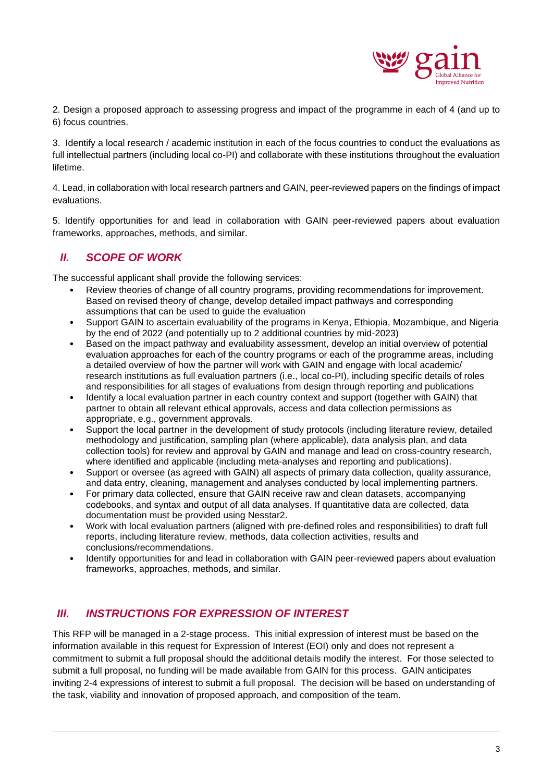

2. Design a proposed approach to assessing progress and impact of the programme in each of 4 (and up to 6) focus countries.

3. Identify a local research / academic institution in each of the focus countries to conduct the evaluations as full intellectual partners (including local co-PI) and collaborate with these institutions throughout the evaluation lifetime.

4. Lead, in collaboration with local research partners and GAIN, peer-reviewed papers on the findings of impact evaluations.

5. Identify opportunities for and lead in collaboration with GAIN peer-reviewed papers about evaluation frameworks, approaches, methods, and similar.

# <span id="page-2-0"></span>*II. SCOPE OF WORK*

The successful applicant shall provide the following services:

- Review theories of change of all country programs, providing recommendations for improvement. Based on revised theory of change, develop detailed impact pathways and corresponding assumptions that can be used to guide the evaluation
- Support GAIN to ascertain evaluability of the programs in Kenya, Ethiopia, Mozambique, and Nigeria by the end of 2022 (and potentially up to 2 additional countries by mid-2023)
- Based on the impact pathway and evaluability assessment, develop an initial overview of potential evaluation approaches for each of the country programs or each of the programme areas, including a detailed overview of how the partner will work with GAIN and engage with local academic/ research institutions as full evaluation partners (i.e., local co-PI), including specific details of roles and responsibilities for all stages of evaluations from design through reporting and publications
- Identify a local evaluation partner in each country context and support (together with GAIN) that partner to obtain all relevant ethical approvals, access and data collection permissions as appropriate, e.g., government approvals.
- Support the local partner in the development of study protocols (including literature review, detailed methodology and justification, sampling plan (where applicable), data analysis plan, and data collection tools) for review and approval by GAIN and manage and lead on cross-country research, where identified and applicable (including meta-analyses and reporting and publications).
- Support or oversee (as agreed with GAIN) all aspects of primary data collection, quality assurance, and data entry, cleaning, management and analyses conducted by local implementing partners.
- For primary data collected, ensure that GAIN receive raw and clean datasets, accompanying codebooks, and syntax and output of all data analyses. If quantitative data are collected, data documentation must be provided using Nesstar2.
- Work with local evaluation partners (aligned with pre-defined roles and responsibilities) to draft full reports, including literature review, methods, data collection activities, results and conclusions/recommendations.
- Identify opportunities for and lead in collaboration with GAIN peer-reviewed papers about evaluation frameworks, approaches, methods, and similar.

# *III. INSTRUCTIONS FOR EXPRESSION OF INTEREST*

This RFP will be managed in a 2-stage process. This initial expression of interest must be based on the information available in this request for Expression of Interest (EOI) only and does not represent a commitment to submit a full proposal should the additional details modify the interest. For those selected to submit a full proposal, no funding will be made available from GAIN for this process. GAIN anticipates inviting 2-4 expressions of interest to submit a full proposal. The decision will be based on understanding of the task, viability and innovation of proposed approach, and composition of the team.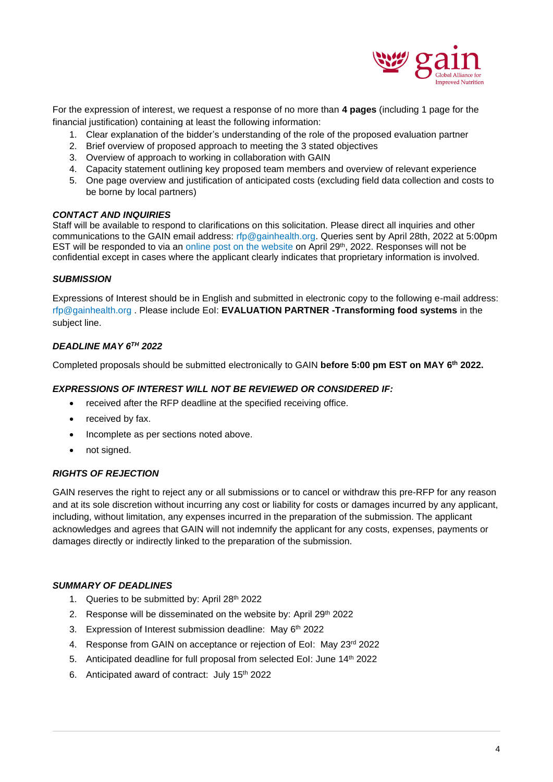

For the expression of interest, we request a response of no more than **4 pages** (including 1 page for the financial justification) containing at least the following information:

- 1. Clear explanation of the bidder's understanding of the role of the proposed evaluation partner
- 2. Brief overview of proposed approach to meeting the 3 stated objectives
- 3. Overview of approach to working in collaboration with GAIN
- 4. Capacity statement outlining key proposed team members and overview of relevant experience
- 5. One page overview and justification of anticipated costs (excluding field data collection and costs to be borne by local partners)

#### *CONTACT AND INQUIRIES*

Staff will be available to respond to clarifications on this solicitation. Please direct all inquiries and other communications to the GAIN email address: [rfp@gainhealth.org.](mailto:rfp@gainhealth.org) Queries sent by April 28th, 2022 at 5:00pm EST will be responded to via an [online post on the website](https://www.gainhealth.org/knowledge-centre/request-for-proposals-sun-business-network-evaluation-2019/) on April 29<sup>th</sup>, 2022. Responses will not be confidential except in cases where the applicant clearly indicates that proprietary information is involved.

#### *SUBMISSION*

Expressions of Interest should be in English and submitted in electronic copy to the following e-mail address: [rfp@gainhealth.org](mailto:rfp@gainhealth.org) . Please include EoI: **EVALUATION PARTNER -Transforming food systems** in the subject line.

#### *DEADLINE MAY 6TH 2022*

Completed proposals should be submitted electronically to GAIN **before 5:00 pm EST on MAY 6th 2022.** 

#### *EXPRESSIONS OF INTEREST WILL NOT BE REVIEWED OR CONSIDERED IF:*

- received after the RFP deadline at the specified receiving office.
- received by fax.
- Incomplete as per sections noted above.
- not signed.

#### *RIGHTS OF REJECTION*

GAIN reserves the right to reject any or all submissions or to cancel or withdraw this pre-RFP for any reason and at its sole discretion without incurring any cost or liability for costs or damages incurred by any applicant, including, without limitation, any expenses incurred in the preparation of the submission. The applicant acknowledges and agrees that GAIN will not indemnify the applicant for any costs, expenses, payments or damages directly or indirectly linked to the preparation of the submission.

### *SUMMARY OF DEADLINES*

- 1. Queries to be submitted by: April 28th 2022
- 2. Response will be disseminated on the website by: April 29th 2022
- 3. Expression of Interest submission deadline: May 6<sup>th</sup> 2022
- 4. Response from GAIN on acceptance or rejection of EoI: May 23rd 2022
- 5. Anticipated deadline for full proposal from selected EoI: June 14<sup>th</sup> 2022
- 6. Anticipated award of contract: July 15th 2022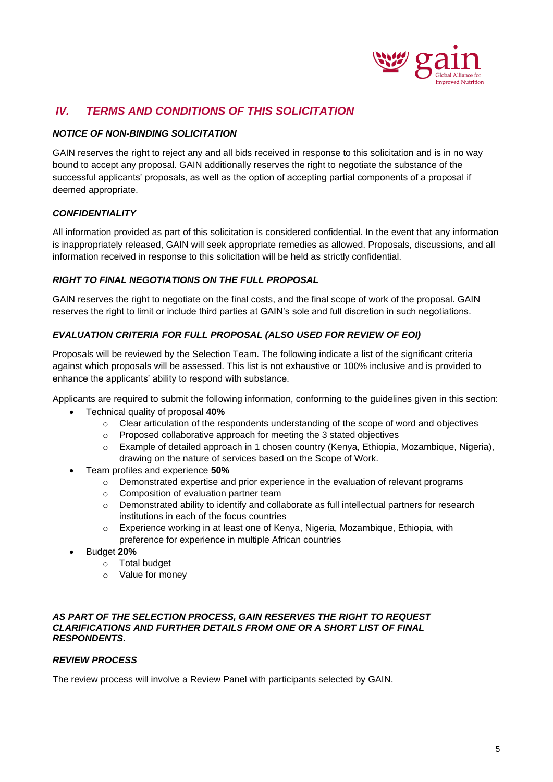

# <span id="page-4-0"></span>*IV. TERMS AND CONDITIONS OF THIS SOLICITATION*

### *NOTICE OF NON-BINDING SOLICITATION*

GAIN reserves the right to reject any and all bids received in response to this solicitation and is in no way bound to accept any proposal. GAIN additionally reserves the right to negotiate the substance of the successful applicants' proposals, as well as the option of accepting partial components of a proposal if deemed appropriate.

### *CONFIDENTIALITY*

All information provided as part of this solicitation is considered confidential. In the event that any information is inappropriately released, GAIN will seek appropriate remedies as allowed. Proposals, discussions, and all information received in response to this solicitation will be held as strictly confidential.

### *RIGHT TO FINAL NEGOTIATIONS ON THE FULL PROPOSAL*

GAIN reserves the right to negotiate on the final costs, and the final scope of work of the proposal. GAIN reserves the right to limit or include third parties at GAIN's sole and full discretion in such negotiations.

### *EVALUATION CRITERIA FOR FULL PROPOSAL (ALSO USED FOR REVIEW OF EOI)*

Proposals will be reviewed by the Selection Team. The following indicate a list of the significant criteria against which proposals will be assessed. This list is not exhaustive or 100% inclusive and is provided to enhance the applicants' ability to respond with substance.

Applicants are required to submit the following information, conforming to the guidelines given in this section:

- Technical quality of proposal **40%**
	- $\circ$  Clear articulation of the respondents understanding of the scope of word and objectives
	- $\circ$  Proposed collaborative approach for meeting the 3 stated objectives
	- o Example of detailed approach in 1 chosen country (Kenya, Ethiopia, Mozambique, Nigeria), drawing on the nature of services based on the Scope of Work.
- Team profiles and experience **50%**
	- $\circ$  Demonstrated expertise and prior experience in the evaluation of relevant programs
	- o Composition of evaluation partner team
	- o Demonstrated ability to identify and collaborate as full intellectual partners for research institutions in each of the focus countries
	- $\circ$  Experience working in at least one of Kenya, Nigeria, Mozambique, Ethiopia, with preference for experience in multiple African countries
- Budget **20%**
	- o Total budget
	- o Value for money

#### *AS PART OF THE SELECTION PROCESS, GAIN RESERVES THE RIGHT TO REQUEST CLARIFICATIONS AND FURTHER DETAILS FROM ONE OR A SHORT LIST OF FINAL RESPONDENTS.*

### *REVIEW PROCESS*

The review process will involve a Review Panel with participants selected by GAIN.